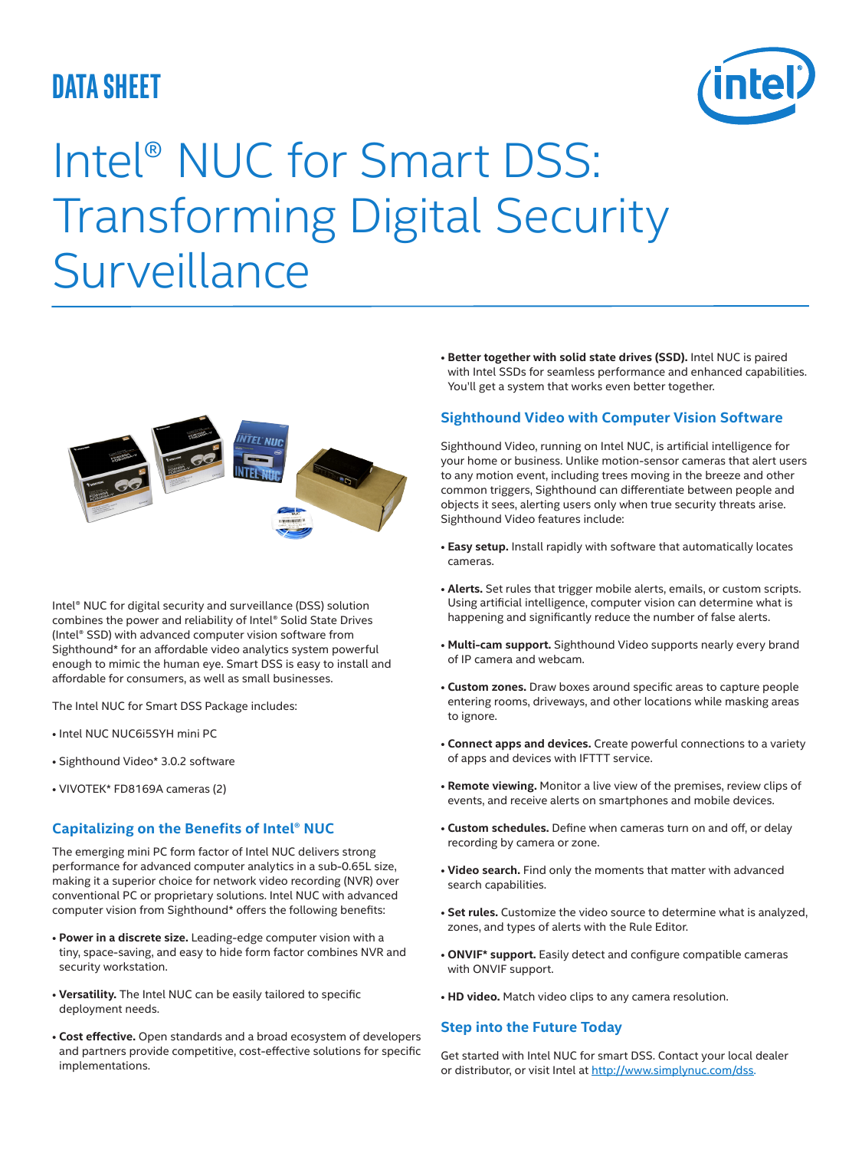## **data sheet**



# Intel® NUC for Smart DSS: Transforming Digital Security **Surveillance**



Intel® NUC for digital security and surveillance (DSS) solution combines the power and reliability of Intel® Solid State Drives (Intel® SSD) with advanced computer vision software from Sighthound\* for an affordable video analytics system powerful enough to mimic the human eye. Smart DSS is easy to install and affordable for consumers, as well as small businesses.

The Intel NUC for Smart DSS Package includes:

- Intel NUC NUC6i5SYH mini PC
- Sighthound Video\* 3.0.2 software
- VIVOTEK\* FD8169A cameras (2)

#### **Capitalizing on the Benefits of Intel® NUC**

The emerging mini PC form factor of Intel NUC delivers strong performance for advanced computer analytics in a sub-0.65L size, making it a superior choice for network video recording (NVR) over conventional PC or proprietary solutions. Intel NUC with advanced computer vision from Sighthound\* offers the following benefits:

- **Power in a discrete size.** Leading-edge computer vision with a tiny, space-saving, and easy to hide form factor combines NVR and security workstation.
- **Versatility.** The Intel NUC can be easily tailored to specific deployment needs.
- **Cost effective.** Open standards and a broad ecosystem of developers and partners provide competitive, cost-effective solutions for specific implementations.

• **Better together with solid state drives (SSD).** Intel NUC is paired with Intel SSDs for seamless performance and enhanced capabilities. You'll get a system that works even better together.

#### **Sighthound Video with Computer Vision Software**

Sighthound Video, running on Intel NUC, is artificial intelligence for your home or business. Unlike motion-sensor cameras that alert users to any motion event, including trees moving in the breeze and other common triggers, Sighthound can differentiate between people and objects it sees, alerting users only when true security threats arise. Sighthound Video features include:

- **Easy setup.** Install rapidly with software that automatically locates cameras.
- **Alerts.** Set rules that trigger mobile alerts, emails, or custom scripts. Using artificial intelligence, computer vision can determine what is happening and significantly reduce the number of false alerts.
- **Multi-cam support.** Sighthound Video supports nearly every brand of IP camera and webcam.
- **Custom zones.** Draw boxes around specific areas to capture people entering rooms, driveways, and other locations while masking areas to ignore.
- **Connect apps and devices.** Create powerful connections to a variety of apps and devices with IFTTT service.
- **Remote viewing.** Monitor a live view of the premises, review clips of events, and receive alerts on smartphones and mobile devices.
- **Custom schedules.** Define when cameras turn on and off, or delay recording by camera or zone.
- **Video search.** Find only the moments that matter with advanced search capabilities.
- **Set rules.** Customize the video source to determine what is analyzed, zones, and types of alerts with the Rule Editor.
- **ONVIF\* support.** Easily detect and configure compatible cameras with ONVIF support.
- **HD video.** Match video clips to any camera resolution.

#### **Step into the Future Today**

Get started with Intel NUC for smart DSS. Contact your local dealer or distributor, or visit Intel at http://www.simplynuc.com/dss.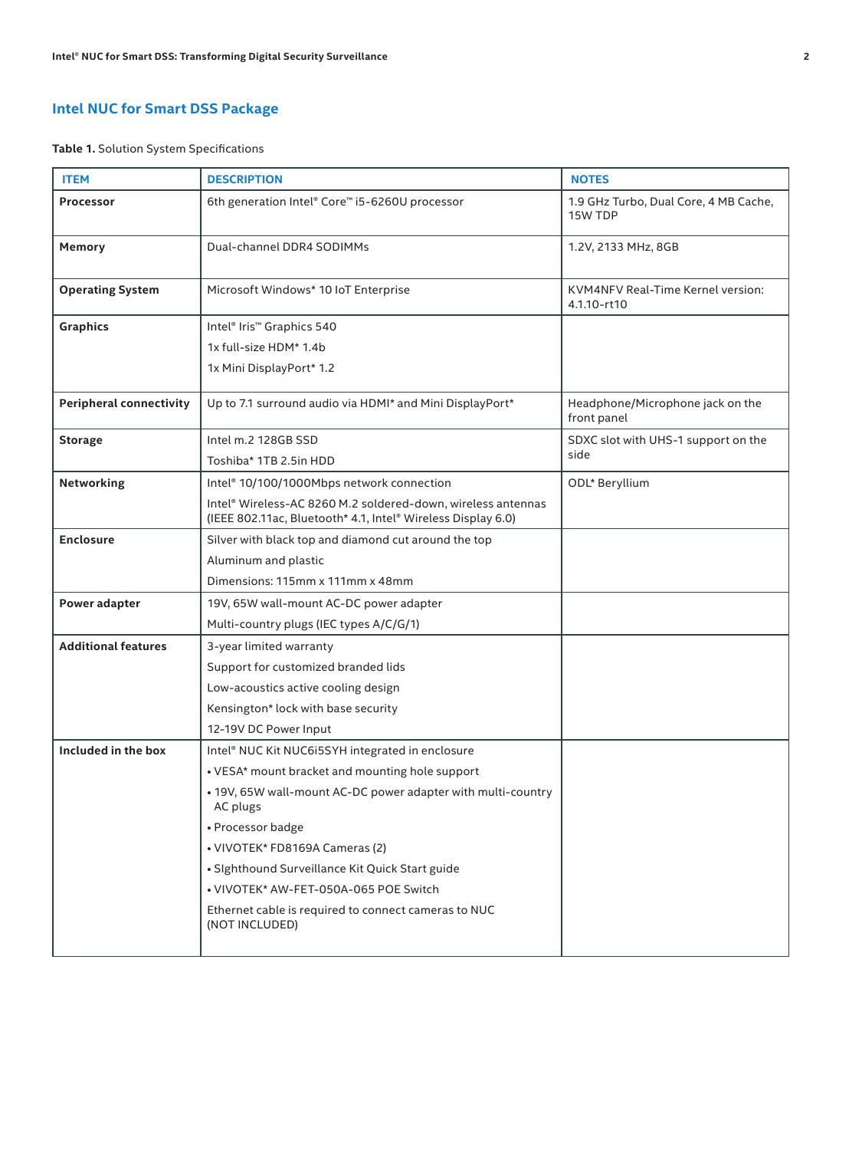### **Intel NUC for Smart DSS Package**

**Table 1.** Solution System Specifications

| <b>ITEM</b>                    | <b>DESCRIPTION</b>                                                                                                           | <b>NOTES</b>                                     |
|--------------------------------|------------------------------------------------------------------------------------------------------------------------------|--------------------------------------------------|
| Processor                      | 6th generation Intel® Core™ i5-6260U processor                                                                               | 1.9 GHz Turbo, Dual Core, 4 MB Cache,<br>15W TDP |
| Memory                         | Dual-channel DDR4 SODIMMs                                                                                                    | 1.2V, 2133 MHz, 8GB                              |
| <b>Operating System</b>        | Microsoft Windows* 10 IoT Enterprise                                                                                         | KVM4NFV Real-Time Kernel version:<br>4.1.10-rt10 |
| <b>Graphics</b>                | Intel <sup>®</sup> Iris <sup>™</sup> Graphics 540                                                                            |                                                  |
|                                | 1x full-size HDM* 1.4b                                                                                                       |                                                  |
|                                | 1x Mini DisplayPort* 1.2                                                                                                     |                                                  |
| <b>Peripheral connectivity</b> | Up to 7.1 surround audio via HDMI* and Mini DisplayPort*                                                                     | Headphone/Microphone jack on the<br>front panel  |
| <b>Storage</b>                 | Intel m.2 128GB SSD                                                                                                          | SDXC slot with UHS-1 support on the              |
|                                | Toshiba* 1TB 2.5in HDD                                                                                                       | side                                             |
| Networking                     | Intel® 10/100/1000Mbps network connection                                                                                    | ODL* Beryllium                                   |
|                                | Intel® Wireless-AC 8260 M.2 soldered-down, wireless antennas<br>(IEEE 802.11ac, Bluetooth* 4.1, Intel® Wireless Display 6.0) |                                                  |
| <b>Enclosure</b>               | Silver with black top and diamond cut around the top                                                                         |                                                  |
|                                | Aluminum and plastic                                                                                                         |                                                  |
|                                | Dimensions: 115mm x 111mm x 48mm                                                                                             |                                                  |
| Power adapter                  | 19V, 65W wall-mount AC-DC power adapter                                                                                      |                                                  |
|                                | Multi-country plugs (IEC types A/C/G/1)                                                                                      |                                                  |
| <b>Additional features</b>     | 3-year limited warranty                                                                                                      |                                                  |
|                                | Support for customized branded lids                                                                                          |                                                  |
|                                | Low-acoustics active cooling design                                                                                          |                                                  |
|                                | Kensington* lock with base security                                                                                          |                                                  |
|                                | 12-19V DC Power Input                                                                                                        |                                                  |
| Included in the box            | Intel® NUC Kit NUC6i5SYH integrated in enclosure                                                                             |                                                  |
|                                | • VESA* mount bracket and mounting hole support                                                                              |                                                  |
|                                | • 19V, 65W wall-mount AC-DC power adapter with multi-country<br>AC plugs                                                     |                                                  |
|                                | • Processor badge                                                                                                            |                                                  |
|                                | • VIVOTEK* FD8169A Cameras (2)                                                                                               |                                                  |
|                                | • Sighthound Surveillance Kit Quick Start guide                                                                              |                                                  |
|                                | • VIVOTEK* AW-FET-050A-065 POE Switch                                                                                        |                                                  |
|                                | Ethernet cable is required to connect cameras to NUC<br>(NOT INCLUDED)                                                       |                                                  |
|                                |                                                                                                                              |                                                  |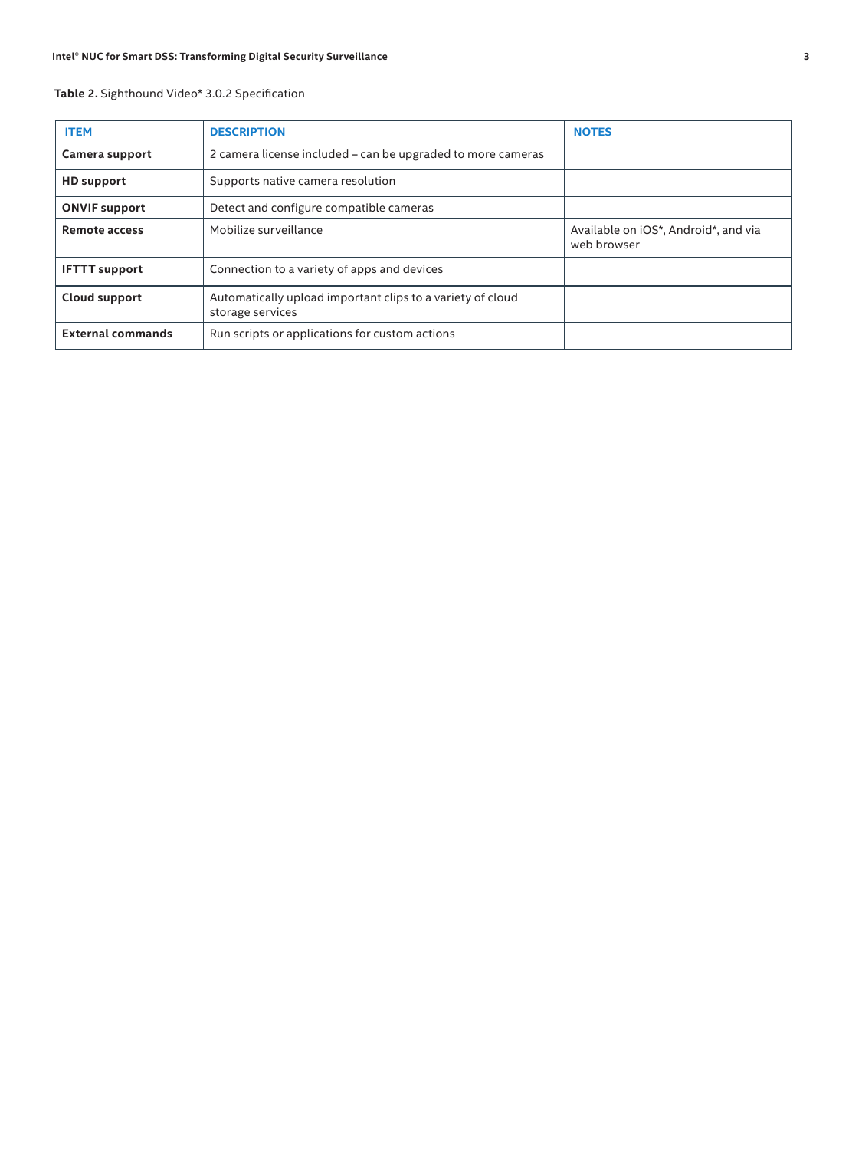#### **Table 2.** Sighthound Video\* 3.0.2 Specification

| <b>ITEM</b>              | <b>DESCRIPTION</b>                                                             | <b>NOTES</b>                                        |
|--------------------------|--------------------------------------------------------------------------------|-----------------------------------------------------|
| Camera support           | 2 camera license included – can be upgraded to more cameras                    |                                                     |
| <b>HD</b> support        | Supports native camera resolution                                              |                                                     |
| <b>ONVIF support</b>     | Detect and configure compatible cameras                                        |                                                     |
| <b>Remote access</b>     | Mobilize surveillance                                                          | Available on iOS*, Android*, and via<br>web browser |
| <b>IFTTT support</b>     | Connection to a variety of apps and devices                                    |                                                     |
| Cloud support            | Automatically upload important clips to a variety of cloud<br>storage services |                                                     |
| <b>External commands</b> | Run scripts or applications for custom actions                                 |                                                     |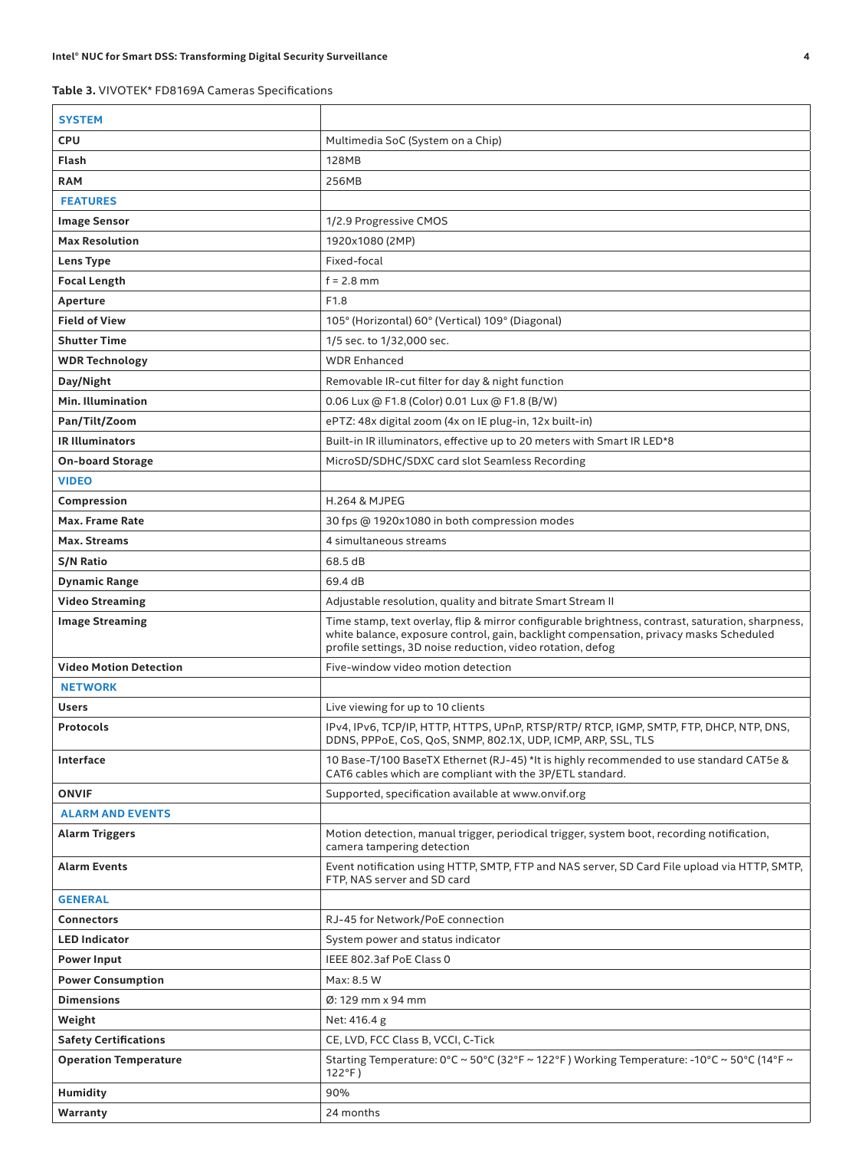**Table 3.** VIVOTEK\* FD8169A Cameras Specifications

| <b>SYSTEM</b>                 |                                                                                                                                                                                                                                                            |
|-------------------------------|------------------------------------------------------------------------------------------------------------------------------------------------------------------------------------------------------------------------------------------------------------|
| <b>CPU</b>                    | Multimedia SoC (System on a Chip)                                                                                                                                                                                                                          |
| Flash                         | <b>128MB</b>                                                                                                                                                                                                                                               |
| <b>RAM</b>                    | 256MB                                                                                                                                                                                                                                                      |
| <b>FEATURES</b>               |                                                                                                                                                                                                                                                            |
| <b>Image Sensor</b>           | 1/2.9 Progressive CMOS                                                                                                                                                                                                                                     |
| <b>Max Resolution</b>         | 1920x1080 (2MP)                                                                                                                                                                                                                                            |
| Lens Type                     | Fixed-focal                                                                                                                                                                                                                                                |
| <b>Focal Length</b>           | $f = 2.8$ mm                                                                                                                                                                                                                                               |
| Aperture                      | F <sub>1.8</sub>                                                                                                                                                                                                                                           |
| <b>Field of View</b>          | 105° (Horizontal) 60° (Vertical) 109° (Diagonal)                                                                                                                                                                                                           |
| <b>Shutter Time</b>           | 1/5 sec. to 1/32,000 sec.                                                                                                                                                                                                                                  |
| <b>WDR Technology</b>         | <b>WDR Enhanced</b>                                                                                                                                                                                                                                        |
| Day/Night                     | Removable IR-cut filter for day & night function                                                                                                                                                                                                           |
| Min. Illumination             | 0.06 Lux @ F1.8 (Color) 0.01 Lux @ F1.8 (B/W)                                                                                                                                                                                                              |
| Pan/Tilt/Zoom                 | ePTZ: 48x digital zoom (4x on IE plug-in, 12x built-in)                                                                                                                                                                                                    |
| <b>IR Illuminators</b>        | Built-in IR illuminators, effective up to 20 meters with Smart IR LED*8                                                                                                                                                                                    |
| <b>On-board Storage</b>       | MicroSD/SDHC/SDXC card slot Seamless Recording                                                                                                                                                                                                             |
| <b>VIDEO</b>                  |                                                                                                                                                                                                                                                            |
| Compression                   | <b>H.264 &amp; MJPEG</b>                                                                                                                                                                                                                                   |
| Max. Frame Rate               | 30 fps @ 1920x1080 in both compression modes                                                                                                                                                                                                               |
| Max. Streams                  | 4 simultaneous streams                                                                                                                                                                                                                                     |
| <b>S/N Ratio</b>              | 68.5 dB                                                                                                                                                                                                                                                    |
| <b>Dynamic Range</b>          | 69.4 dB                                                                                                                                                                                                                                                    |
| <b>Video Streaming</b>        | Adjustable resolution, quality and bitrate Smart Stream II                                                                                                                                                                                                 |
|                               |                                                                                                                                                                                                                                                            |
| <b>Image Streaming</b>        | Time stamp, text overlay, flip & mirror configurable brightness, contrast, saturation, sharpness,<br>white balance, exposure control, gain, backlight compensation, privacy masks Scheduled<br>profile settings, 3D noise reduction, video rotation, defog |
| <b>Video Motion Detection</b> | Five-window video motion detection                                                                                                                                                                                                                         |
| <b>NETWORK</b>                |                                                                                                                                                                                                                                                            |
| <b>Users</b>                  | Live viewing for up to 10 clients                                                                                                                                                                                                                          |
| <b>Protocols</b>              | IPv4, IPv6, TCP/IP, HTTP, HTTPS, UPnP, RTSP/RTP/ RTCP, IGMP, SMTP, FTP, DHCP, NTP, DNS,<br>DDNS, PPPoE, CoS, QoS, SNMP, 802.1X, UDP, ICMP, ARP, SSL, TLS                                                                                                   |
| Interface                     | 10 Base-T/100 BaseTX Ethernet (RJ-45) *It is highly recommended to use standard CAT5e &<br>CAT6 cables which are compliant with the 3P/ETL standard.                                                                                                       |
| <b>ONVIF</b>                  | Supported, specification available at www.onvif.org                                                                                                                                                                                                        |
| <b>ALARM AND EVENTS</b>       |                                                                                                                                                                                                                                                            |
| <b>Alarm Triggers</b>         | Motion detection, manual trigger, periodical trigger, system boot, recording notification,<br>camera tampering detection                                                                                                                                   |
| <b>Alarm Events</b>           | Event notification using HTTP, SMTP, FTP and NAS server, SD Card File upload via HTTP, SMTP,<br>FTP. NAS server and SD card                                                                                                                                |
| <b>GENERAL</b>                |                                                                                                                                                                                                                                                            |
| <b>Connectors</b>             | RJ-45 for Network/PoE connection                                                                                                                                                                                                                           |
| <b>LED Indicator</b>          | System power and status indicator                                                                                                                                                                                                                          |
| <b>Power Input</b>            | IEEE 802.3af PoE Class 0                                                                                                                                                                                                                                   |
| <b>Power Consumption</b>      | Max: 8.5 W                                                                                                                                                                                                                                                 |
| <b>Dimensions</b>             | Ø: 129 mm x 94 mm                                                                                                                                                                                                                                          |
| Weight                        | Net: 416.4 g                                                                                                                                                                                                                                               |
| <b>Safety Certifications</b>  | CE, LVD, FCC Class B, VCCI, C-Tick                                                                                                                                                                                                                         |
| <b>Operation Temperature</b>  | Starting Temperature: $0^{\circ}$ C ~ 50°C (32°F ~ 122°F) Working Temperature: -10°C ~ 50°C (14°F ~<br>$122^{\circ}$ F)                                                                                                                                    |
| <b>Humidity</b>               | 90%                                                                                                                                                                                                                                                        |